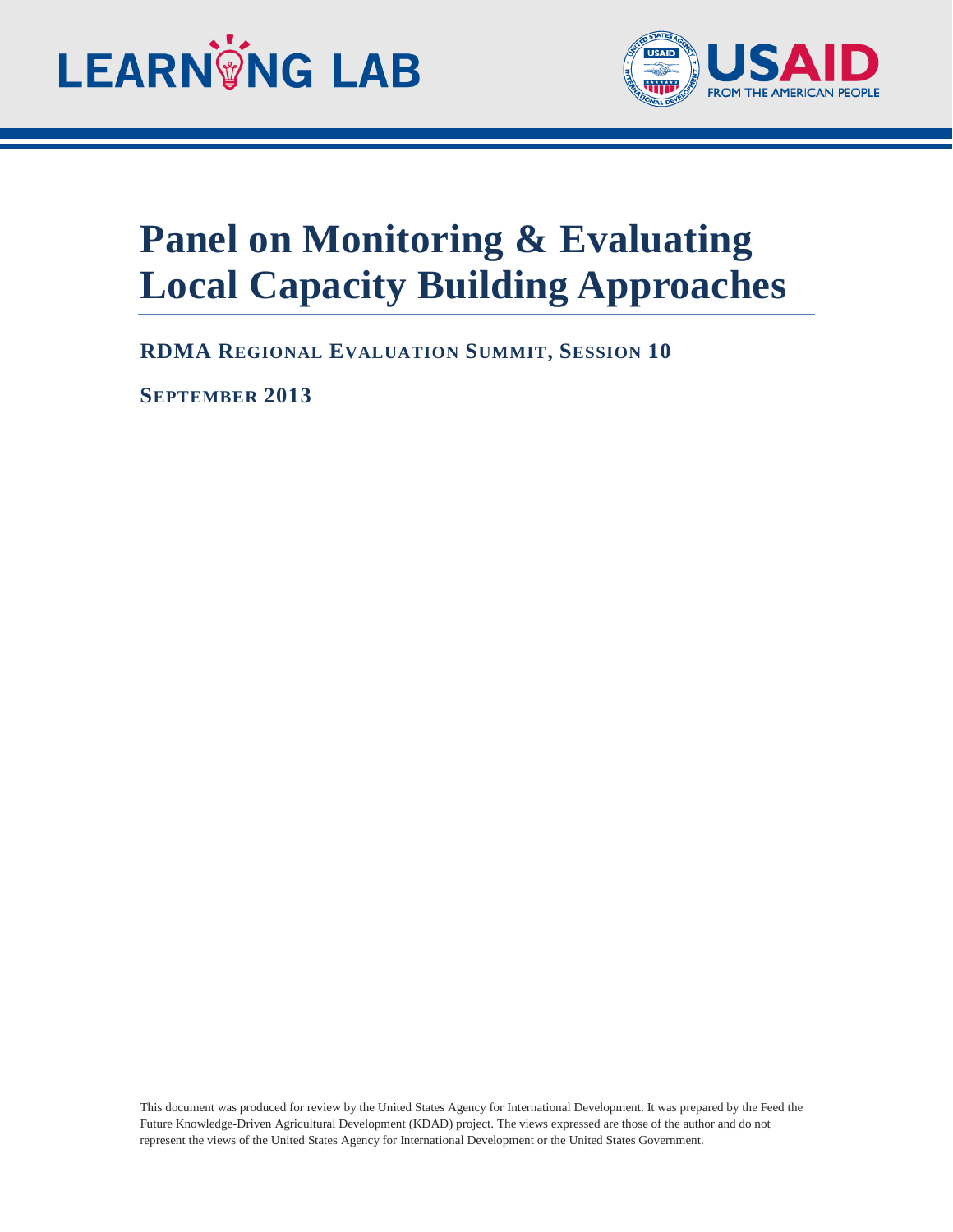



# **Panel on Monitoring & Evaluating Local Capacity Building Approaches**

**RDMA REGIONAL EVALUATION SUMMIT, SESSION 10**

**SEPTEMBER 2013**

This document was produced for review by the United States Agency for International Development. It was prepared by the Feed the Future Knowledge-Driven Agricultural Development (KDAD) project. The views expressed are those of the author and do not represent the views of the United States Agency for International Development or the United States Government.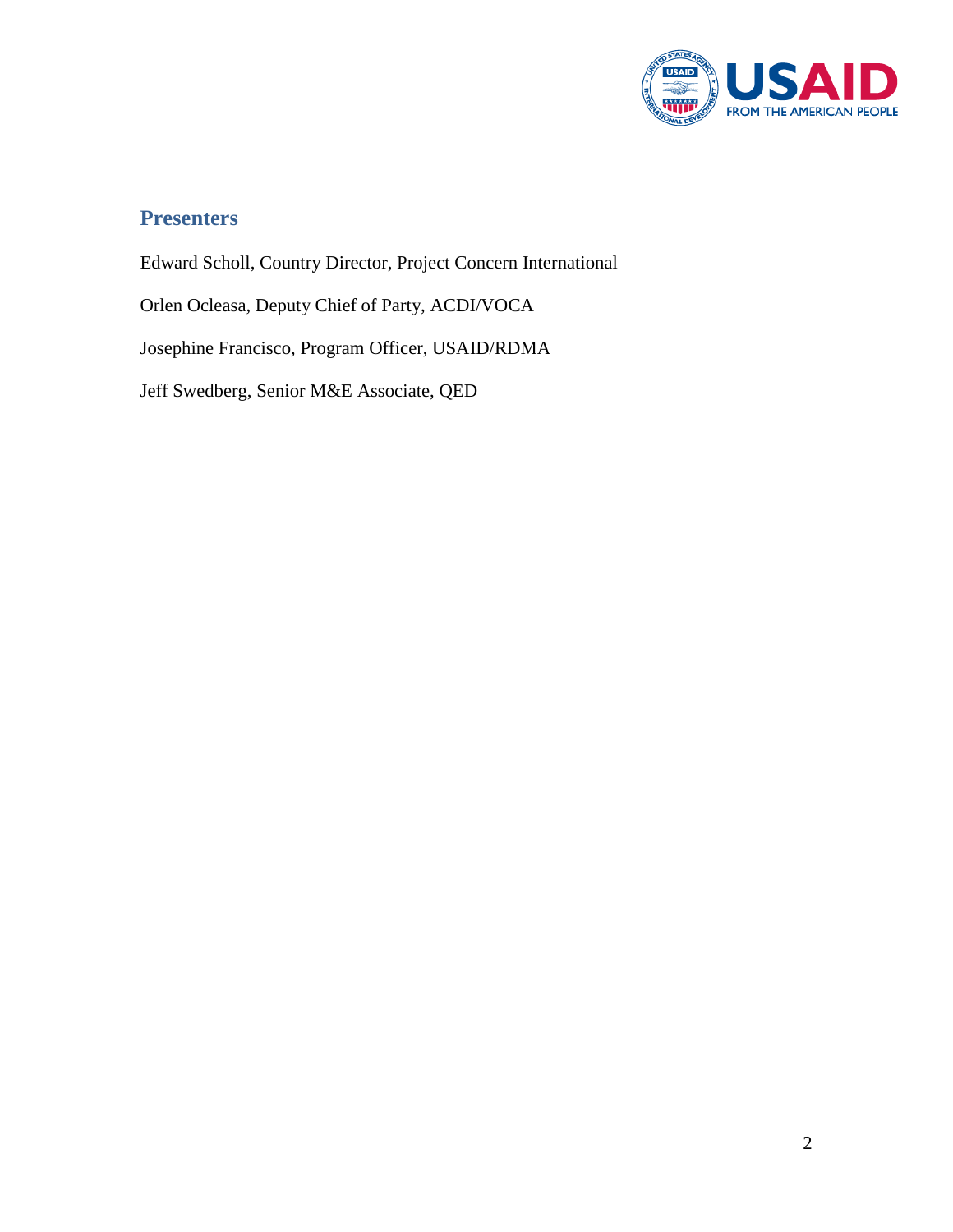

## **Presenters**

Edward Scholl, Country Director, Project Concern International

Orlen Ocleasa, Deputy Chief of Party, ACDI/VOCA

Josephine Francisco, Program Officer, USAID/RDMA

Jeff Swedberg, Senior M&E Associate, QED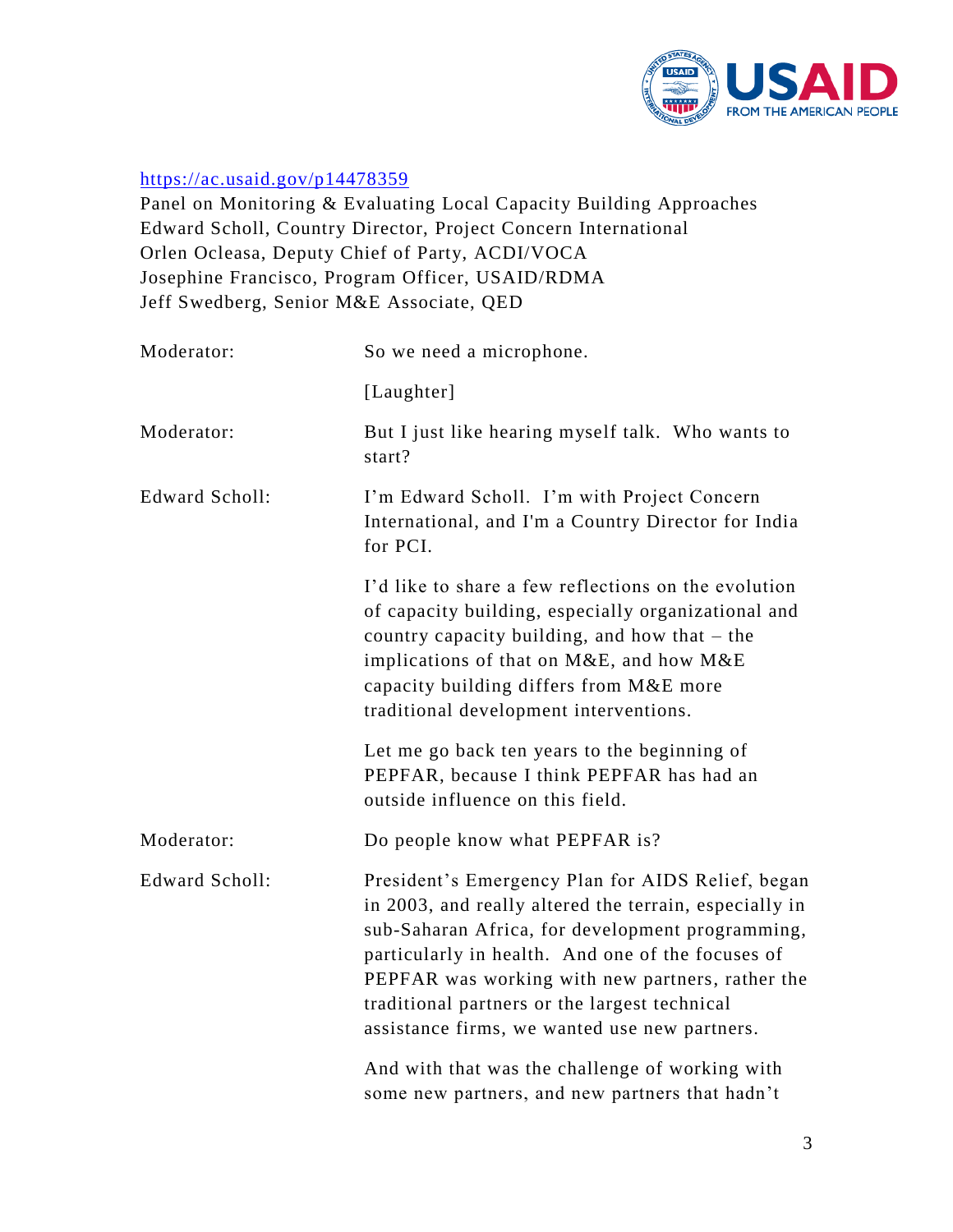

### <https://ac.usaid.gov/p14478359>

Panel on Monitoring & Evaluating Local Capacity Building Approaches Edward Scholl, Country Director, Project Concern International Orlen Ocleasa, Deputy Chief of Party, ACDI/VOCA Josephine Francisco, Program Officer, USAID/RDMA Jeff Swedberg, Senior M&E Associate, QED

| Moderator:     | So we need a microphone.                                                                                                                                                                                                                                                                                                                                                   |
|----------------|----------------------------------------------------------------------------------------------------------------------------------------------------------------------------------------------------------------------------------------------------------------------------------------------------------------------------------------------------------------------------|
|                | [Laughter]                                                                                                                                                                                                                                                                                                                                                                 |
| Moderator:     | But I just like hearing myself talk. Who wants to<br>start?                                                                                                                                                                                                                                                                                                                |
| Edward Scholl: | I'm Edward Scholl. I'm with Project Concern<br>International, and I'm a Country Director for India<br>for PCI.                                                                                                                                                                                                                                                             |
|                | I'd like to share a few reflections on the evolution<br>of capacity building, especially organizational and<br>country capacity building, and how that $-$ the<br>implications of that on M&E, and how M&E<br>capacity building differs from M&E more<br>traditional development interventions.                                                                            |
|                | Let me go back ten years to the beginning of<br>PEPFAR, because I think PEPFAR has had an<br>outside influence on this field.                                                                                                                                                                                                                                              |
| Moderator:     | Do people know what PEPFAR is?                                                                                                                                                                                                                                                                                                                                             |
| Edward Scholl: | President's Emergency Plan for AIDS Relief, began<br>in 2003, and really altered the terrain, especially in<br>sub-Saharan Africa, for development programming,<br>particularly in health. And one of the focuses of<br>PEPFAR was working with new partners, rather the<br>traditional partners or the largest technical<br>assistance firms, we wanted use new partners. |
|                | And with that was the challenge of working with<br>some new partners, and new partners that hadn't                                                                                                                                                                                                                                                                         |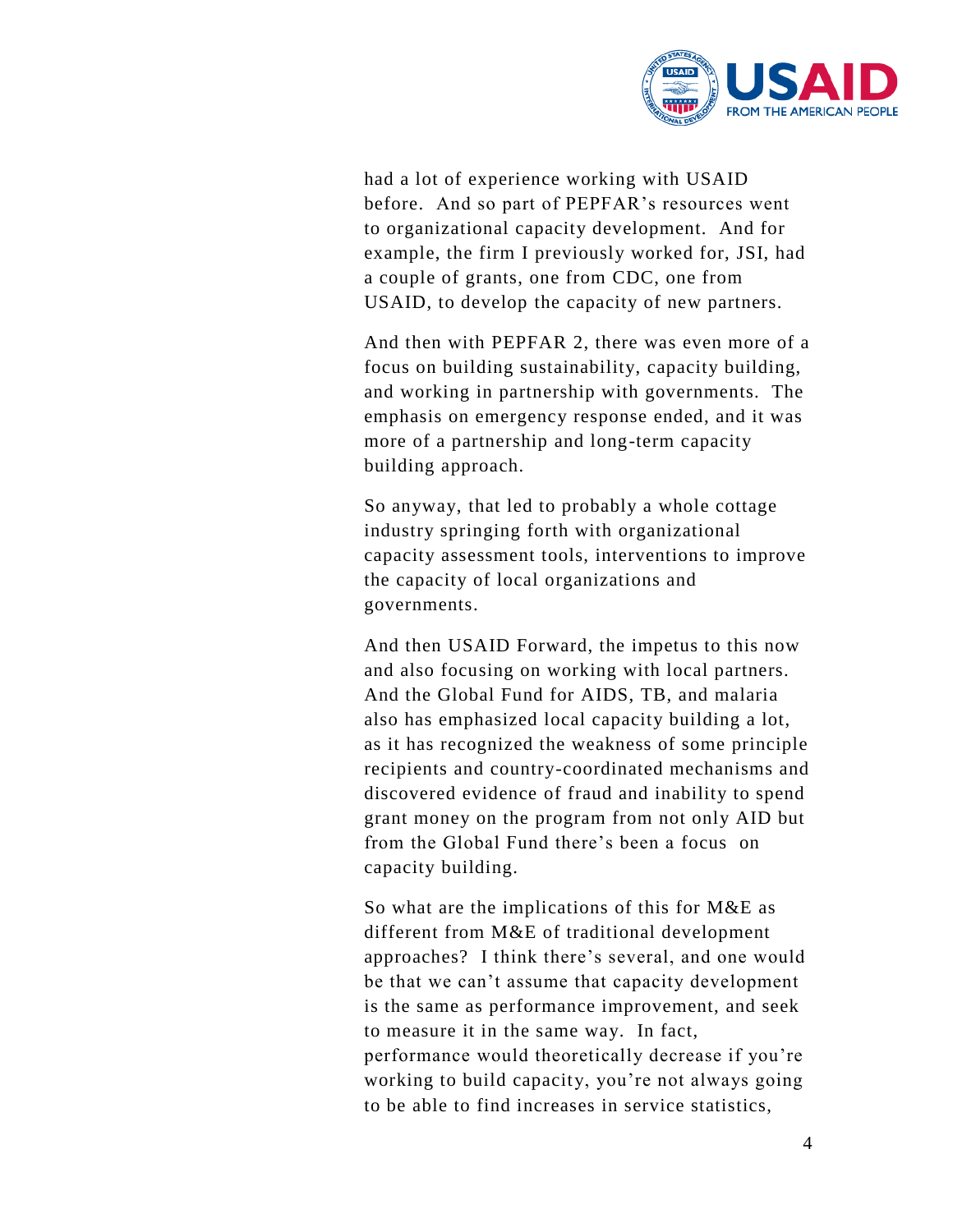

had a lot of experience working with USAID before. And so part of PEPFAR's resources went to organizational capacity development. And for example, the firm I previously worked for, JSI, had a couple of grants, one from CDC, one from USAID, to develop the capacity of new partners.

And then with PEPFAR 2, there was even more of a focus on building sustainability, capacity building, and working in partnership with governments. The emphasis on emergency response ended, and it was more of a partnership and long-term capacity building approach.

So anyway, that led to probably a whole cottage industry springing forth with organizational capacity assessment tools, interventions to improve the capacity of local organizations and governments.

And then USAID Forward, the impetus to this now and also focusing on working with local partners. And the Global Fund for AIDS, TB, and malaria also has emphasized local capacity building a lot, as it has recognized the weakness of some principle recipients and country-coordinated mechanisms and discovered evidence of fraud and inability to spend grant money on the program from not only AID but from the Global Fund there's been a focus on capacity building.

So what are the implications of this for M&E as different from M&E of traditional development approaches? I think there's several, and one would be that we can't assume that capacity development is the same as performance improvement, and seek to measure it in the same way. In fact, performance would theoretically decrease if you're working to build capacity, you're not always going to be able to find increases in service statistics,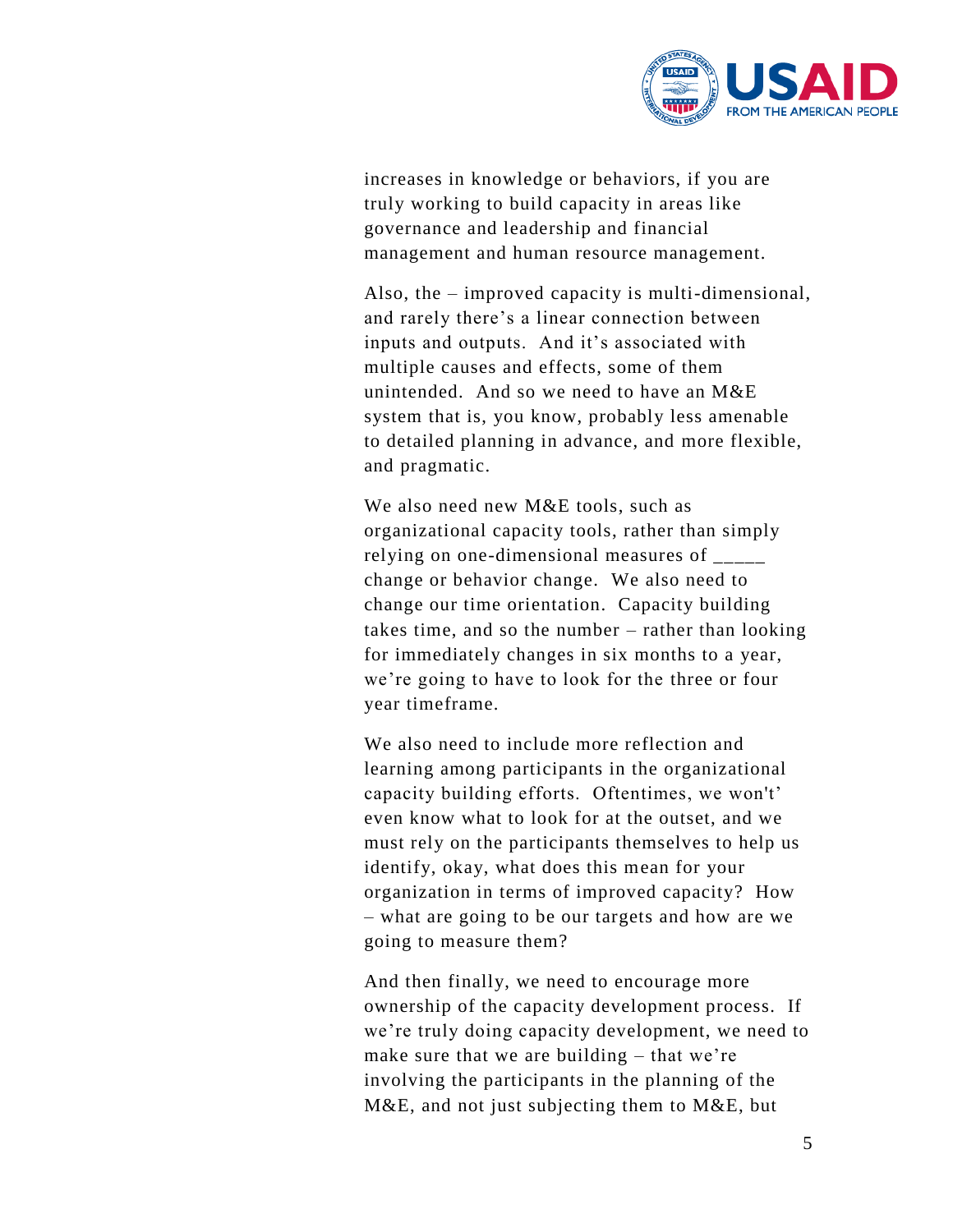

increases in knowledge or behaviors, if you are truly working to build capacity in areas like governance and leadership and financial management and human resource management.

Also, the – improved capacity is multi-dimensional, and rarely there's a linear connection between inputs and outputs. And it's associated with multiple causes and effects, some of them unintended. And so we need to have an M&E system that is, you know, probably less amenable to detailed planning in advance, and more flexible, and pragmatic.

We also need new M&E tools, such as organizational capacity tools, rather than simply relying on one-dimensional measures of \_\_\_\_\_ change or behavior change. We also need to change our time orientation. Capacity building takes time, and so the number – rather than looking for immediately changes in six months to a year, we're going to have to look for the three or four year timeframe.

We also need to include more reflection and learning among participants in the organizational capacity building efforts. Oftentimes, we won't' even know what to look for at the outset, and we must rely on the participants themselves to help us identify, okay, what does this mean for your organization in terms of improved capacity? How – what are going to be our targets and how are we going to measure them?

And then finally, we need to encourage more ownership of the capacity development process. If we're truly doing capacity development, we need to make sure that we are building – that we're involving the participants in the planning of the M&E, and not just subjecting them to M&E, but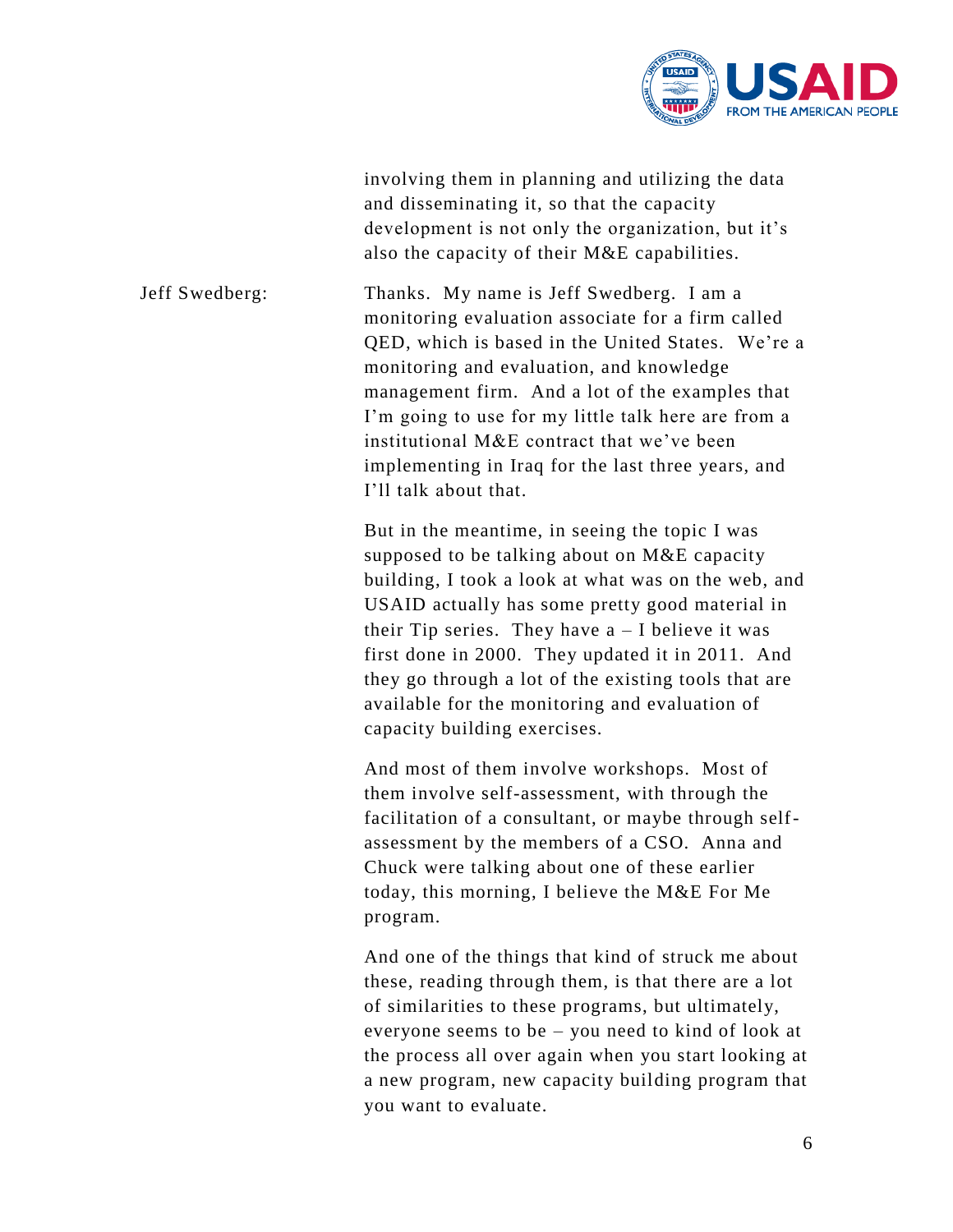

involving them in planning and utilizing the data and disseminating it, so that the capacity development is not only the organization, but it's also the capacity of their M&E capabilities.

Jeff Swedberg: Thanks. My name is Jeff Swedberg. I am a monitoring evaluation associate for a firm called QED, which is based in the United States. We're a monitoring and evaluation, and knowledge management firm. And a lot of the examples that I'm going to use for my little talk here are from a institutional M&E contract that we've been implementing in Iraq for the last three years, and I'll talk about that.

> But in the meantime, in seeing the topic I was supposed to be talking about on M&E capacity building, I took a look at what was on the web, and USAID actually has some pretty good material in their Tip series. They have  $a - I$  believe it was first done in 2000. They updated it in 2011. And they go through a lot of the existing tools that are available for the monitoring and evaluation of capacity building exercises.

And most of them involve workshops. Most of them involve self-assessment, with through the facilitation of a consultant, or maybe through selfassessment by the members of a CSO. Anna and Chuck were talking about one of these earlier today, this morning, I believe the M&E For Me program.

And one of the things that kind of struck me about these, reading through them, is that there are a lot of similarities to these programs, but ultimately, everyone seems to be – you need to kind of look at the process all over again when you start looking at a new program, new capacity building program that you want to evaluate.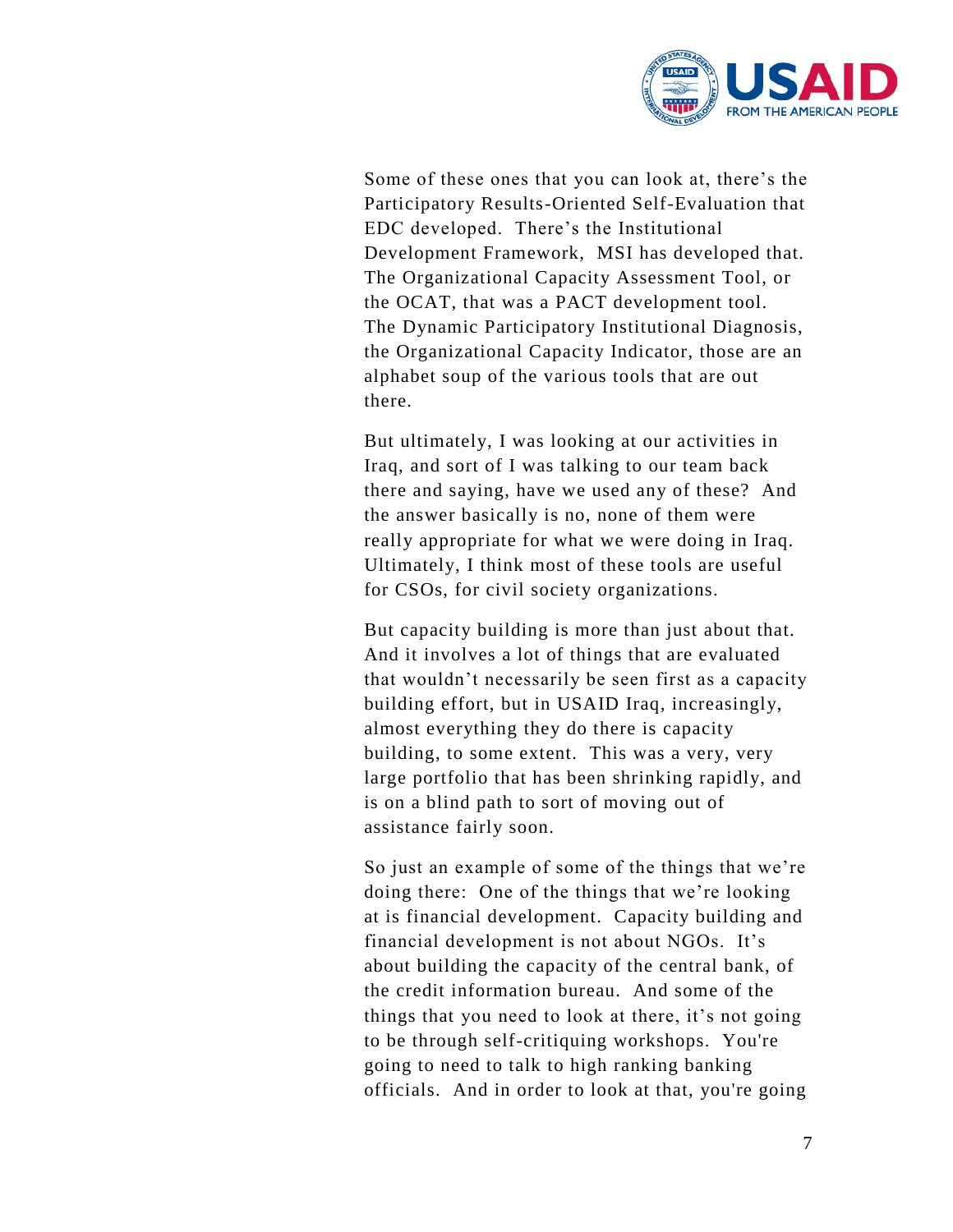

Some of these ones that you can look at, there's the Participatory Results-Oriented Self-Evaluation that EDC developed. There's the Institutional Development Framework, MSI has developed that. The Organizational Capacity Assessment Tool, or the OCAT, that was a PACT development tool. The Dynamic Participatory Institutional Diagnosis, the Organizational Capacity Indicator, those are an alphabet soup of the various tools that are out there.

But ultimately, I was looking at our activities in Iraq, and sort of I was talking to our team back there and saying, have we used any of these? And the answer basically is no, none of them were really appropriate for what we were doing in Iraq. Ultimately, I think most of these tools are useful for CSOs, for civil society organizations.

But capacity building is more than just about that. And it involves a lot of things that are evaluated that wouldn't necessarily be seen first as a capacity building effort, but in USAID Iraq, increasingly, almost everything they do there is capacity building, to some extent. This was a very, very large portfolio that has been shrinking rapidly, and is on a blind path to sort of moving out of assistance fairly soon.

So just an example of some of the things that we're doing there: One of the things that we're looking at is financial development. Capacity building and financial development is not about NGOs. It's about building the capacity of the central bank, of the credit information bureau. And some of the things that you need to look at there, it's not going to be through self-critiquing workshops. You're going to need to talk to high ranking banking officials. And in order to look at that, you're going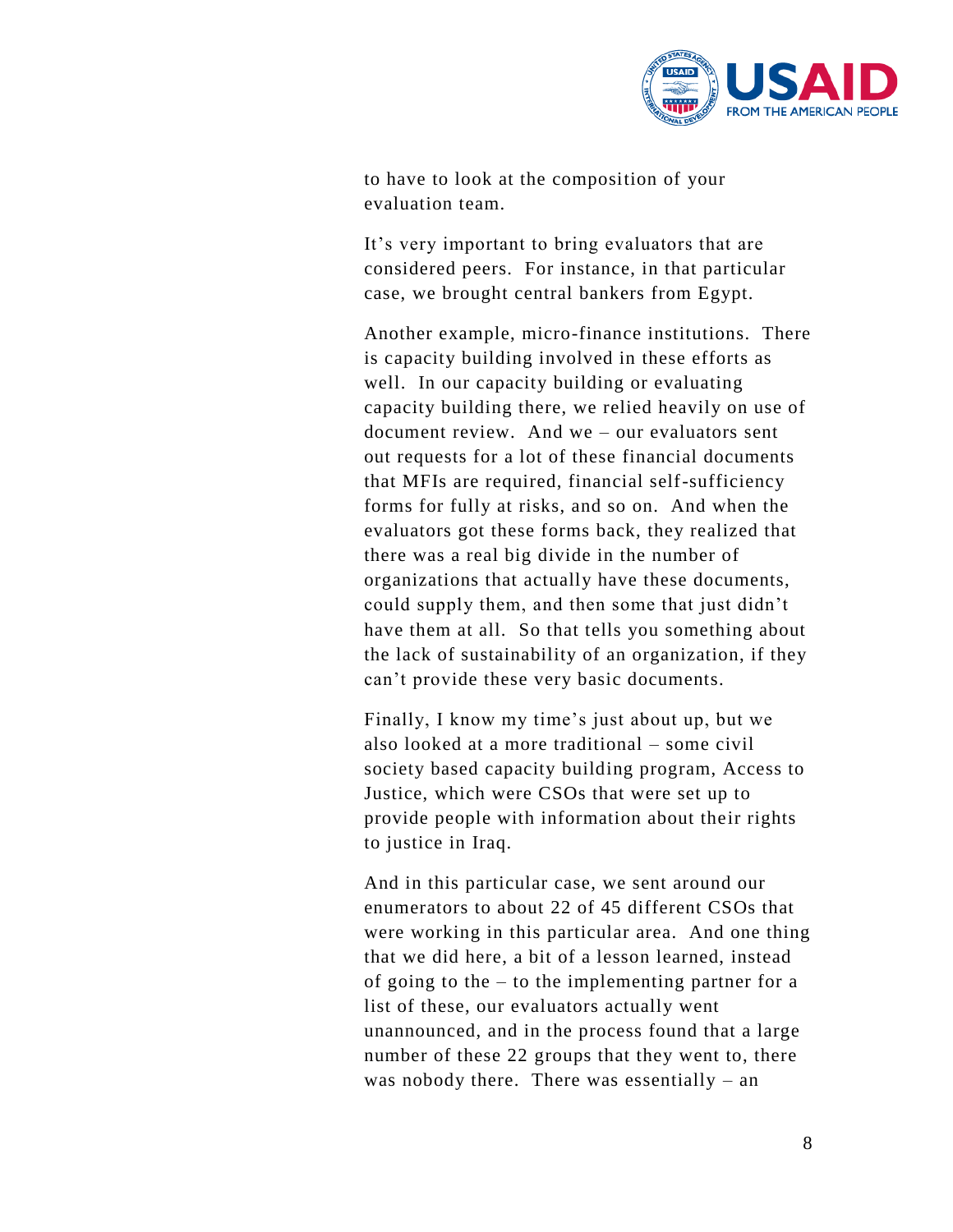

to have to look at the composition of your evaluation team.

It's very important to bring evaluators that are considered peers. For instance, in that particular case, we brought central bankers from Egypt.

Another example, micro-finance institutions. There is capacity building involved in these efforts as well. In our capacity building or evaluating capacity building there, we relied heavily on use of document review. And we – our evaluators sent out requests for a lot of these financial documents that MFIs are required, financial self-sufficiency forms for fully at risks, and so on. And when the evaluators got these forms back, they realized that there was a real big divide in the number of organizations that actually have these documents, could supply them, and then some that just didn't have them at all. So that tells you something about the lack of sustainability of an organization, if they can't provide these very basic documents.

Finally, I know my time's just about up, but we also looked at a more traditional – some civil society based capacity building program, Access to Justice, which were CSOs that were set up to provide people with information about their rights to justice in Iraq.

And in this particular case, we sent around our enumerators to about 22 of 45 different CSOs that were working in this particular area. And one thing that we did here, a bit of a lesson learned, instead of going to the – to the implementing partner for a list of these, our evaluators actually went unannounced, and in the process found that a large number of these 22 groups that they went to, there was nobody there. There was essentially – an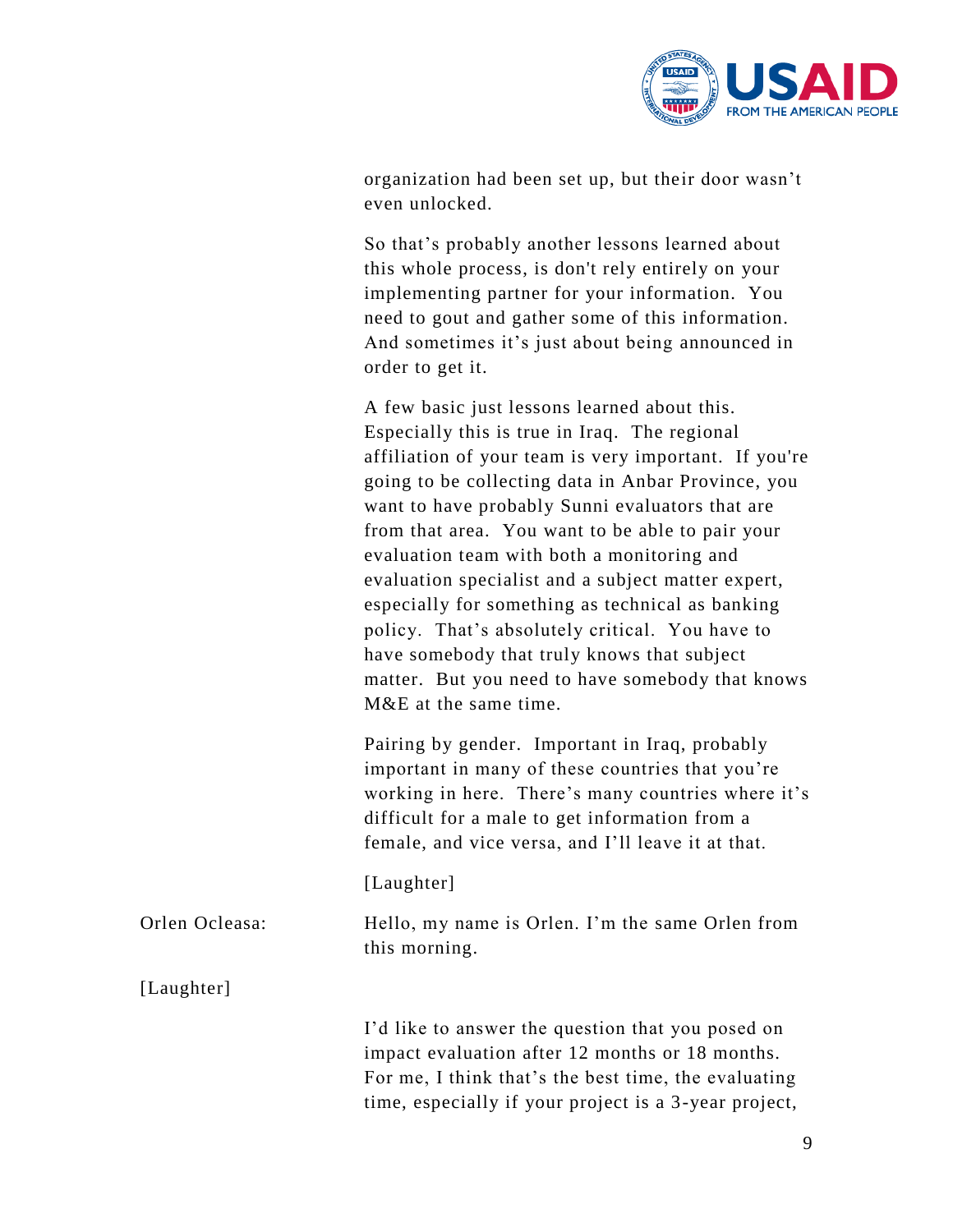

organization had been set up, but their door wasn't even unlocked.

So that's probably another lessons learned about this whole process, is don't rely entirely on your implementing partner for your information. You need to gout and gather some of this information. And sometimes it's just about being announced in order to get it.

A few basic just lessons learned about this. Especially this is true in Iraq. The regional affiliation of your team is very important. If you're going to be collecting data in Anbar Province, you want to have probably Sunni evaluators that are from that area. You want to be able to pair your evaluation team with both a monitoring and evaluation specialist and a subject matter expert, especially for something as technical as banking policy. That's absolutely critical. You have to have somebody that truly knows that subject matter. But you need to have somebody that knows M&E at the same time.

Pairing by gender. Important in Iraq, probably important in many of these countries that you're working in here. There's many countries where it's difficult for a male to get information from a female, and vice versa, and I'll leave it at that.

#### [Laughter]

Orlen Ocleasa: Hello, my name is Orlen. I'm the same Orlen from this morning.

[Laughter]

I'd like to answer the question that you posed on impact evaluation after 12 months or 18 months. For me, I think that's the best time, the evaluating time, especially if your project is a 3-year project,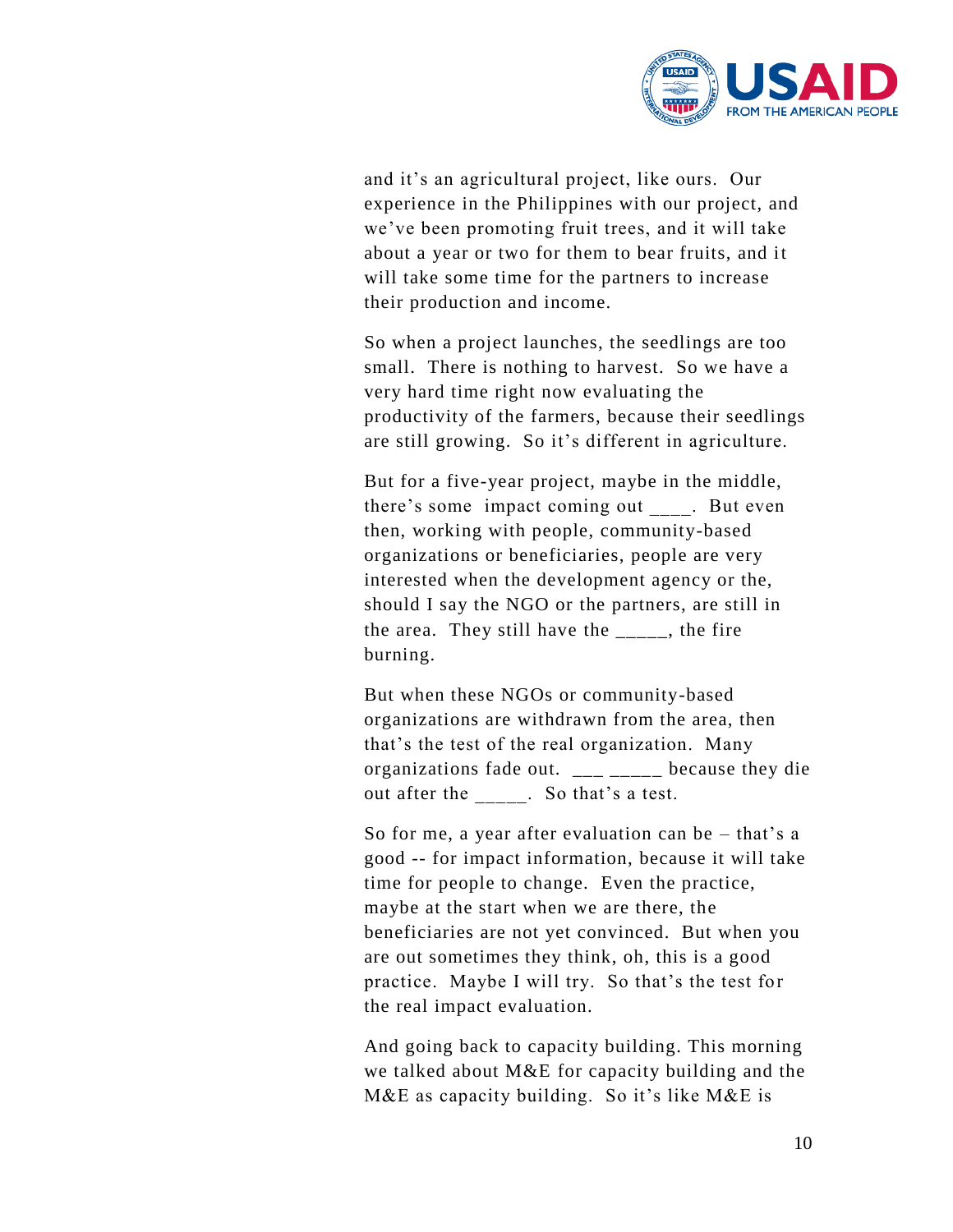

and it's an agricultural project, like ours. Our experience in the Philippines with our project, and we've been promoting fruit trees, and it will take about a year or two for them to bear fruits, and it will take some time for the partners to increase their production and income.

So when a project launches, the seedlings are too small. There is nothing to harvest. So we have a very hard time right now evaluating the productivity of the farmers, because their seedlings are still growing. So it's different in agriculture.

But for a five-year project, maybe in the middle, there's some impact coming out But even then, working with people, community-based organizations or beneficiaries, people are very interested when the development agency or the, should I say the NGO or the partners, are still in the area. They still have the  $\frac{1}{\sqrt{1-\frac{1}{n}}}$ , the fire burning.

But when these NGOs or community-based organizations are withdrawn from the area, then that's the test of the real organization. Many organizations fade out.  $\frac{1}{2}$  =  $\frac{1}{2}$  because they die out after the  $\qquad$ . So that's a test.

So for me, a year after evaluation can be – that's a good -- for impact information, because it will take time for people to change. Even the practice, maybe at the start when we are there, the beneficiaries are not yet convinced. But when you are out sometimes they think, oh, this is a good practice. Maybe I will try. So that's the test for the real impact evaluation.

And going back to capacity building. This morning we talked about M&E for capacity building and the M&E as capacity building. So it's like M&E is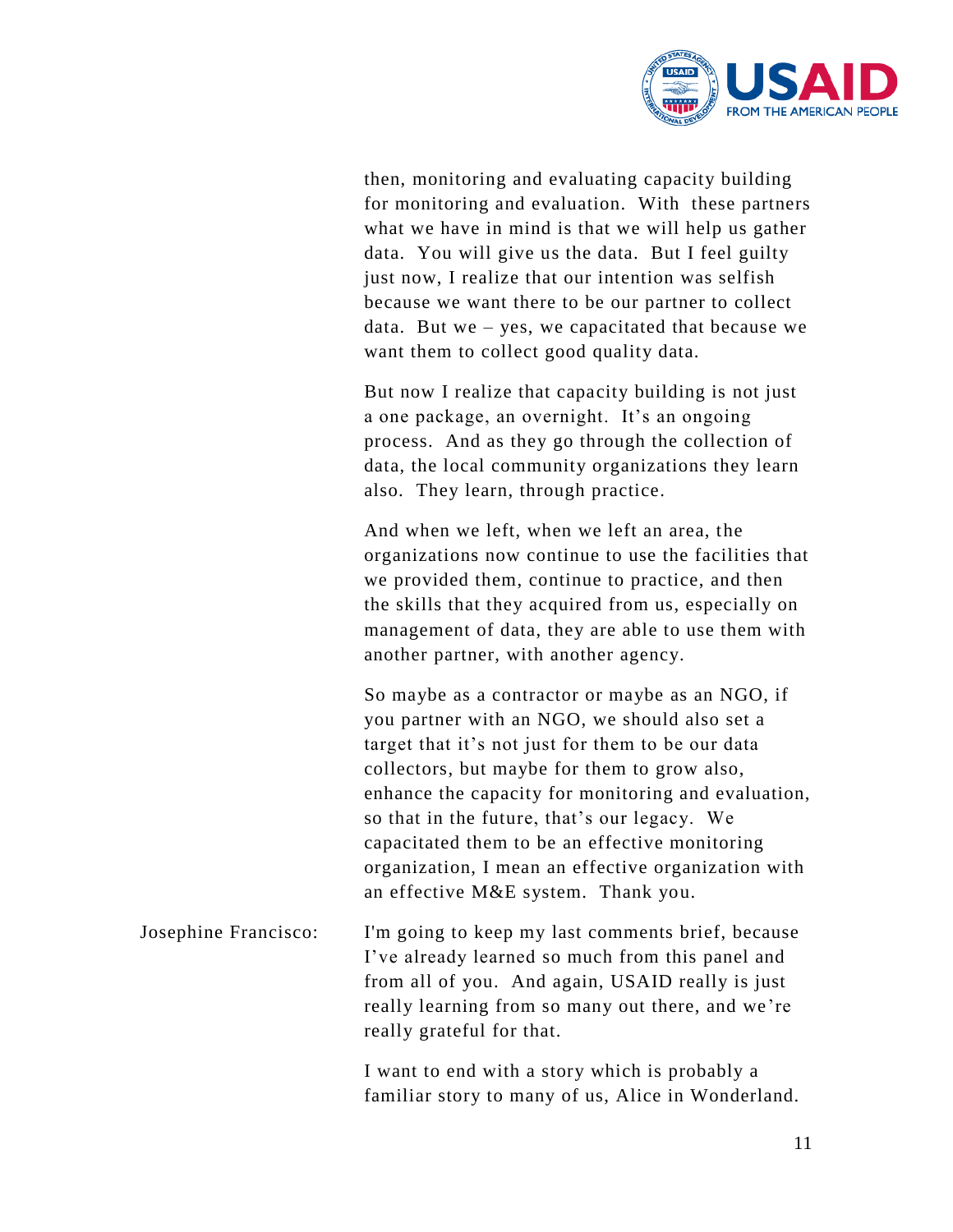

then, monitoring and evaluating capacity building for monitoring and evaluation. With these partners what we have in mind is that we will help us gather data. You will give us the data. But I feel guilty just now, I realize that our intention was selfish because we want there to be our partner to collect data. But we  $-$  yes, we capacitated that because we want them to collect good quality data.

But now I realize that capacity building is not just a one package, an overnight. It's an ongoing process. And as they go through the collection of data, the local community organizations they learn also. They learn, through practice.

And when we left, when we left an area, the organizations now continue to use the facilities that we provided them, continue to practice, and then the skills that they acquired from us, especially on management of data, they are able to use them with another partner, with another agency.

So maybe as a contractor or maybe as an NGO, if you partner with an NGO, we should also set a target that it's not just for them to be our data collectors, but maybe for them to grow also, enhance the capacity for monitoring and evaluation, so that in the future, that's our legacy. We capacitated them to be an effective monitoring organization, I mean an effective organization with an effective M&E system. Thank you.

Josephine Francisco: I'm going to keep my last comments brief, because I've already learned so much from this panel and from all of you. And again, USAID really is just really learning from so many out there, and we 're really grateful for that.

> I want to end with a story which is probably a familiar story to many of us, Alice in Wonderland.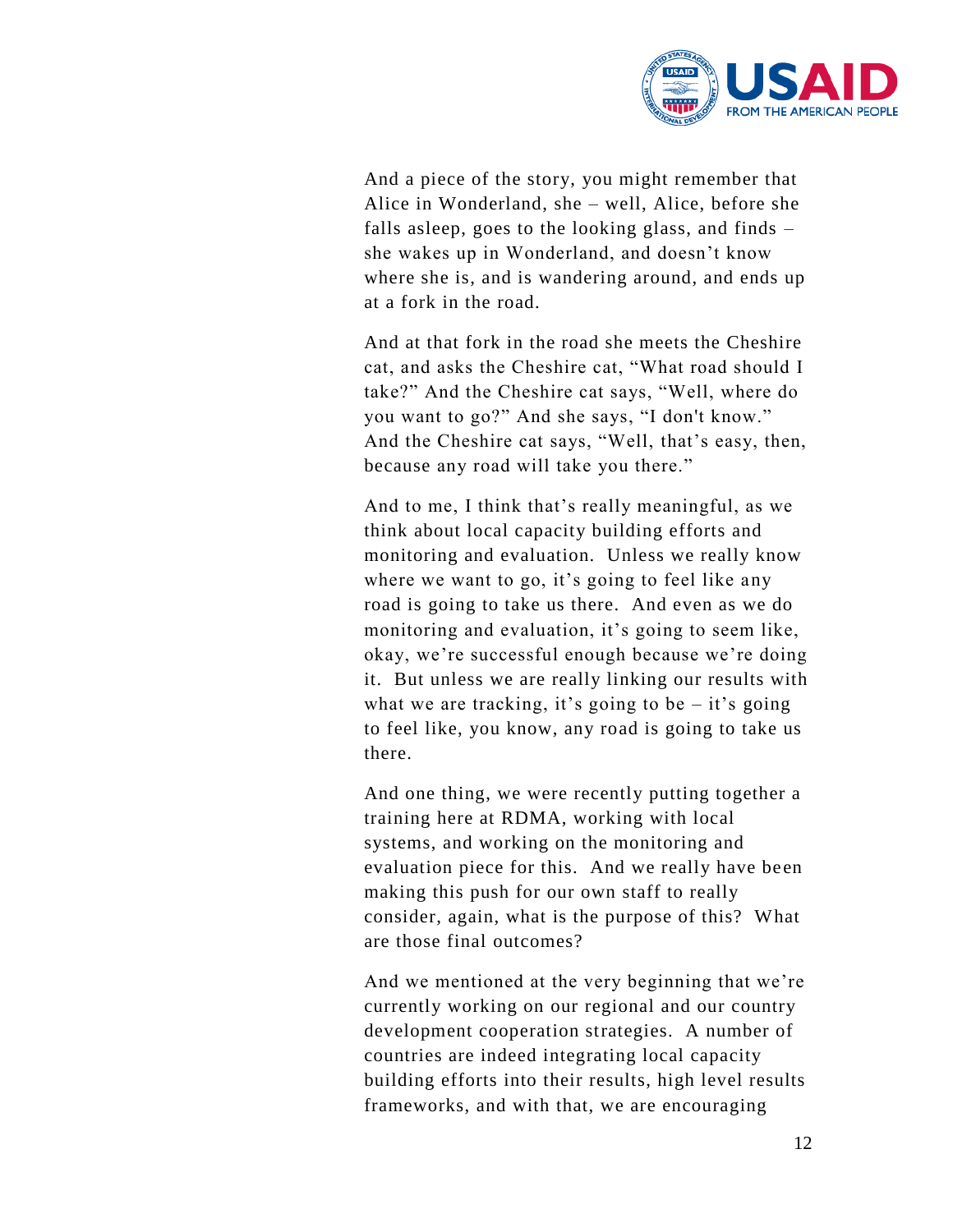

And a piece of the story, you might remember that Alice in Wonderland, she – well, Alice, before she falls asleep, goes to the looking glass, and finds – she wakes up in Wonderland, and doesn't know where she is, and is wandering around, and ends up at a fork in the road.

And at that fork in the road she meets the Cheshire cat, and asks the Cheshire cat, "What road should I take?" And the Cheshire cat says, "Well, where do you want to go?" And she says, "I don't know." And the Cheshire cat says, "Well, that's easy, then, because any road will take you there."

And to me, I think that's really meaningful, as we think about local capacity building efforts and monitoring and evaluation. Unless we really know where we want to go, it's going to feel like any road is going to take us there. And even as we do monitoring and evaluation, it's going to seem like, okay, we're successful enough because we're doing it. But unless we are really linking our results with what we are tracking, it's going to be  $-$  it's going to feel like, you know, any road is going to take us there.

And one thing, we were recently putting together a training here at RDMA, working with local systems, and working on the monitoring and evaluation piece for this. And we really have been making this push for our own staff to really consider, again, what is the purpose of this? What are those final outcomes?

And we mentioned at the very beginning that we're currently working on our regional and our country development cooperation strategies. A number of countries are indeed integrating local capacity building efforts into their results, high level results frameworks, and with that, we are encouraging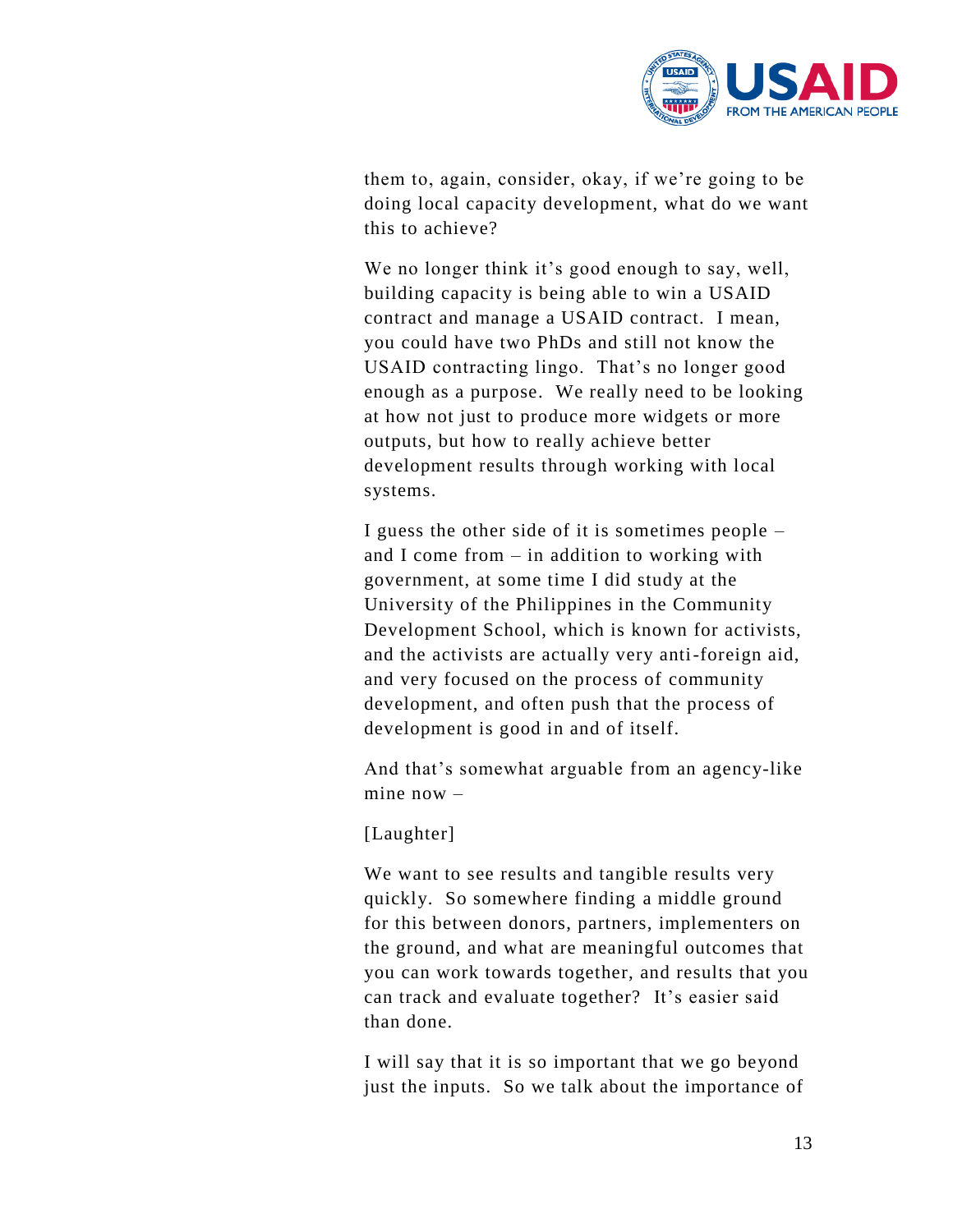

them to, again, consider, okay, if we're going to be doing local capacity development, what do we want this to achieve?

We no longer think it's good enough to say, well, building capacity is being able to win a USAID contract and manage a USAID contract. I mean, you could have two PhDs and still not know the USAID contracting lingo. That's no longer good enough as a purpose. We really need to be looking at how not just to produce more widgets or more outputs, but how to really achieve better development results through working with local systems.

I guess the other side of it is sometimes people – and I come from – in addition to working with government, at some time I did study at the University of the Philippines in the Community Development School, which is known for activists, and the activists are actually very anti-foreign aid, and very focused on the process of community development, and often push that the process of development is good in and of itself.

And that's somewhat arguable from an agency-like mine now –

#### [Laughter]

We want to see results and tangible results very quickly. So somewhere finding a middle ground for this between donors, partners, implementers on the ground, and what are meaningful outcomes that you can work towards together, and results that you can track and evaluate together? It's easier said than done.

I will say that it is so important that we go beyond just the inputs. So we talk about the importance of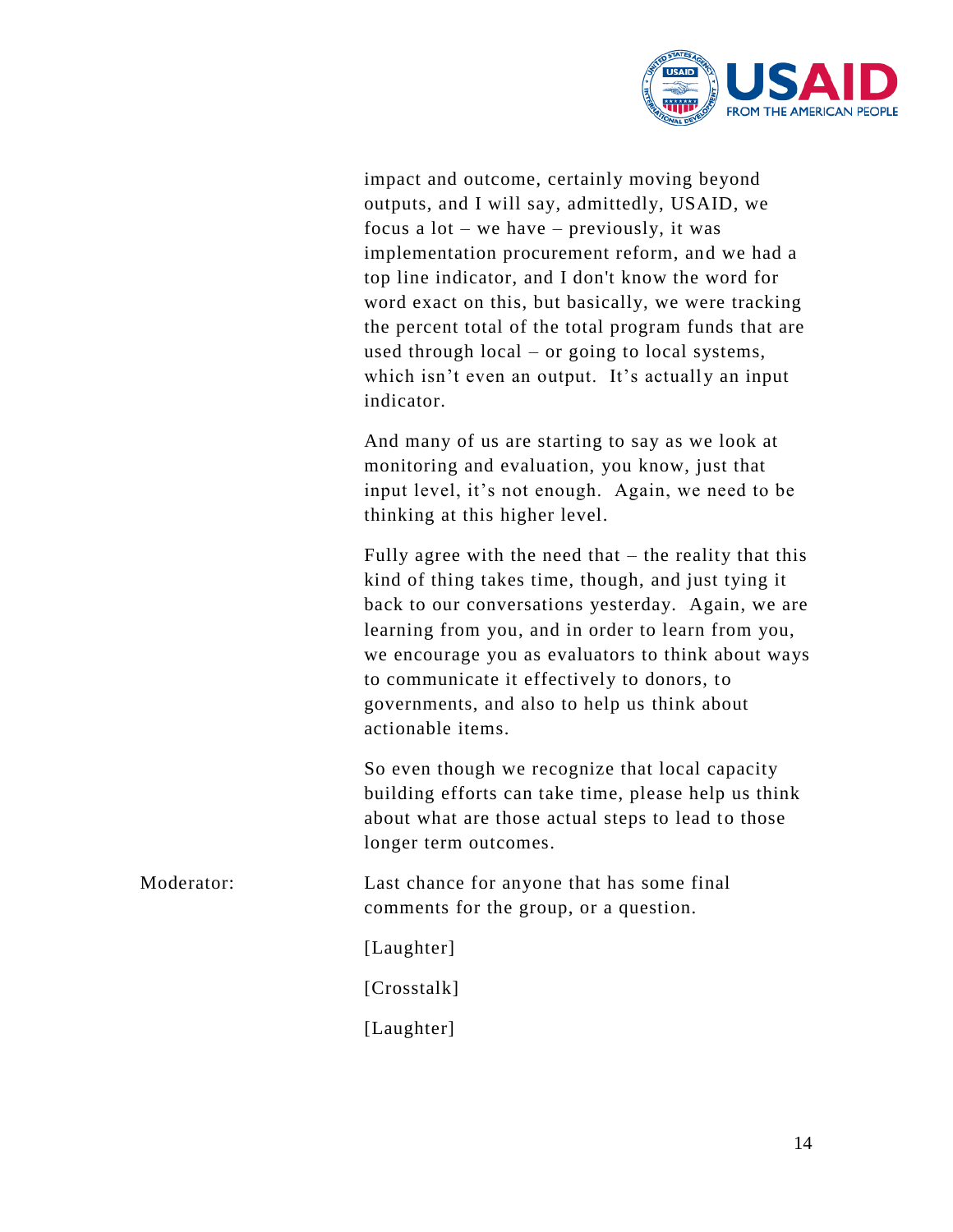

impact and outcome, certainly moving beyond outputs, and I will say, admittedly, USAID, we focus a lot – we have – previously, it was implementation procurement reform, and we had a top line indicator, and I don't know the word for word exact on this, but basically, we were tracking the percent total of the total program funds that are used through local – or going to local systems, which isn't even an output. It's actually an input indicator.

And many of us are starting to say as we look at monitoring and evaluation, you know, just that input level, it's not enough. Again, we need to be thinking at this higher level.

Fully agree with the need that  $-$  the reality that this kind of thing takes time, though, and just tying it back to our conversations yesterday. Again, we are learning from you, and in order to learn from you, we encourage you as evaluators to think about ways to communicate it effectively to donors, to governments, and also to help us think about actionable items.

So even though we recognize that local capacity building efforts can take time, please help us think about what are those actual steps to lead to those longer term outcomes.

Moderator: Last chance for anyone that has some final comments for the group, or a question.

[Laughter]

[Crosstalk]

[Laughter]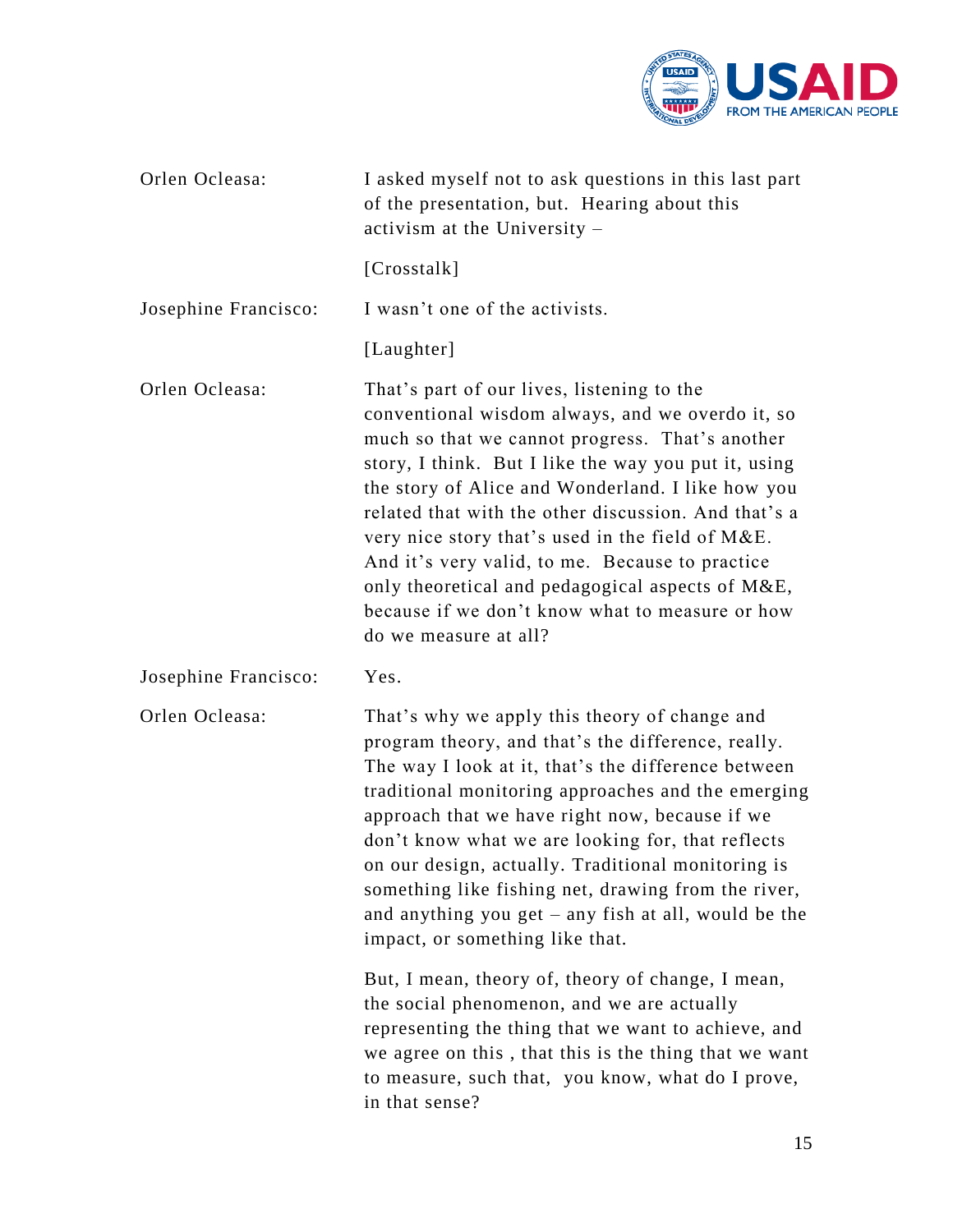

| Orlen Ocleasa:       | I asked myself not to ask questions in this last part<br>of the presentation, but. Hearing about this<br>activism at the University -                                                                                                                                                                                                                                                                                                                                                                                                                         |
|----------------------|---------------------------------------------------------------------------------------------------------------------------------------------------------------------------------------------------------------------------------------------------------------------------------------------------------------------------------------------------------------------------------------------------------------------------------------------------------------------------------------------------------------------------------------------------------------|
|                      | [Crosstalk]                                                                                                                                                                                                                                                                                                                                                                                                                                                                                                                                                   |
| Josephine Francisco: | I wasn't one of the activists.                                                                                                                                                                                                                                                                                                                                                                                                                                                                                                                                |
|                      | [Laughter]                                                                                                                                                                                                                                                                                                                                                                                                                                                                                                                                                    |
| Orlen Ocleasa:       | That's part of our lives, listening to the<br>conventional wisdom always, and we overdo it, so<br>much so that we cannot progress. That's another<br>story, I think. But I like the way you put it, using<br>the story of Alice and Wonderland. I like how you<br>related that with the other discussion. And that's a<br>very nice story that's used in the field of M&E.<br>And it's very valid, to me. Because to practice<br>only theoretical and pedagogical aspects of M&E,<br>because if we don't know what to measure or how<br>do we measure at all? |
| Josephine Francisco: | Yes.                                                                                                                                                                                                                                                                                                                                                                                                                                                                                                                                                          |
| Orlen Ocleasa:       | That's why we apply this theory of change and<br>program theory, and that's the difference, really.<br>The way I look at it, that's the difference between<br>traditional monitoring approaches and the emerging<br>approach that we have right now, because if we<br>don't know what we are looking for, that reflects<br>on our design, actually. Traditional monitoring is<br>something like fishing net, drawing from the river,<br>and anything you get $-$ any fish at all, would be the<br>impact, or something like that.                             |
|                      | But, I mean, theory of, theory of change, I mean,<br>the social phenomenon, and we are actually<br>representing the thing that we want to achieve, and<br>we agree on this, that this is the thing that we want<br>to measure, such that, you know, what do I prove,<br>in that sense?                                                                                                                                                                                                                                                                        |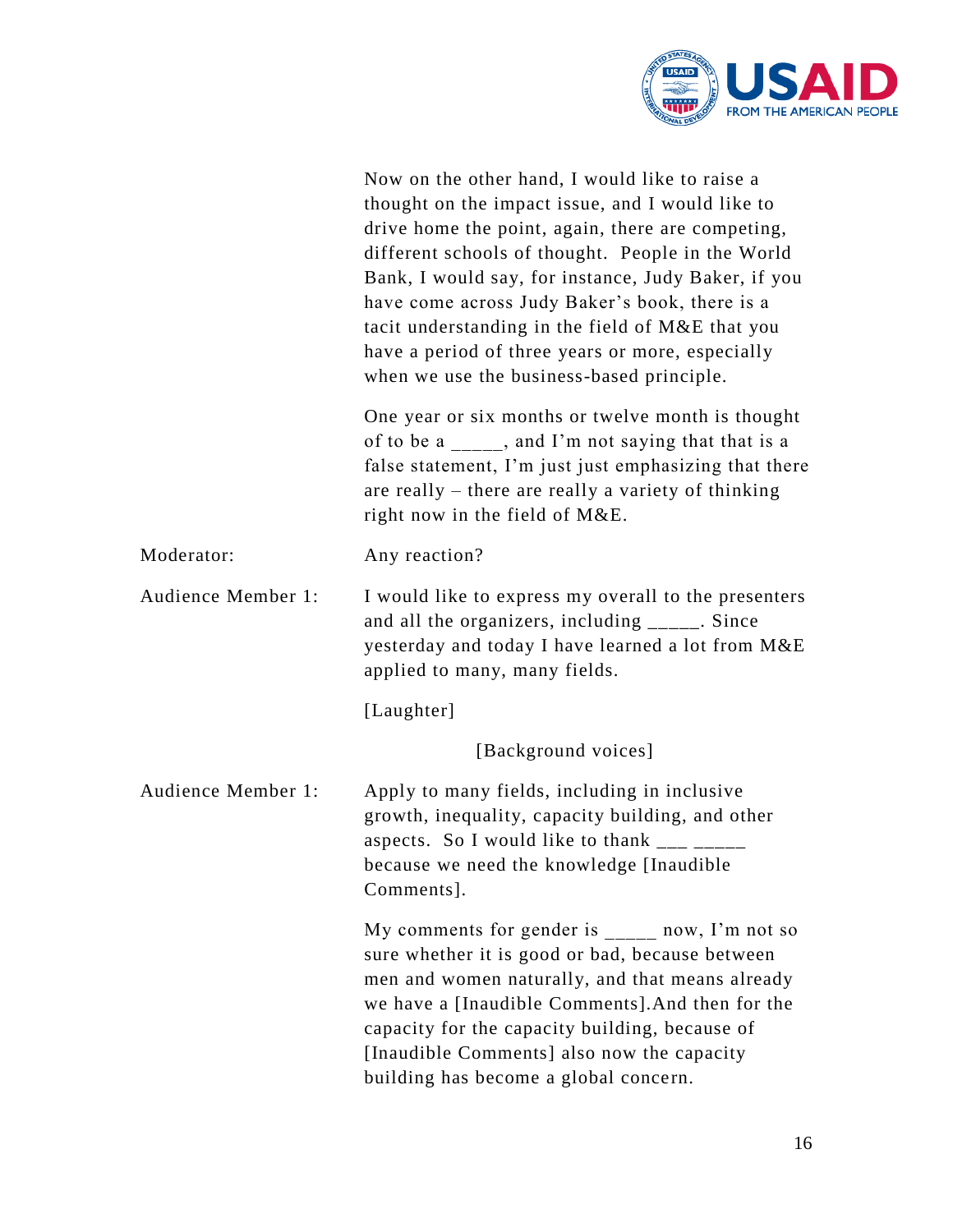

|                    | Now on the other hand, I would like to raise a<br>thought on the impact issue, and I would like to<br>drive home the point, again, there are competing,<br>different schools of thought. People in the World<br>Bank, I would say, for instance, Judy Baker, if you<br>have come across Judy Baker's book, there is a<br>tacit understanding in the field of M&E that you<br>have a period of three years or more, especially<br>when we use the business-based principle. |
|--------------------|----------------------------------------------------------------------------------------------------------------------------------------------------------------------------------------------------------------------------------------------------------------------------------------------------------------------------------------------------------------------------------------------------------------------------------------------------------------------------|
|                    | One year or six months or twelve month is thought<br>of to be a , and I'm not saying that that is a<br>false statement, I'm just just emphasizing that there<br>are really – there are really a variety of thinking<br>right now in the field of M&E.                                                                                                                                                                                                                      |
| Moderator:         | Any reaction?                                                                                                                                                                                                                                                                                                                                                                                                                                                              |
| Audience Member 1: | I would like to express my overall to the presenters<br>and all the organizers, including $\frac{1}{2}$ . Since<br>yesterday and today I have learned a lot from M&E<br>applied to many, many fields.                                                                                                                                                                                                                                                                      |
|                    | [Laughter]                                                                                                                                                                                                                                                                                                                                                                                                                                                                 |
|                    | [Background voices]                                                                                                                                                                                                                                                                                                                                                                                                                                                        |
| Audience Member 1: | Apply to many fields, including in inclusive<br>growth, inequality, capacity building, and other<br>aspects. So I would like to thank $\frac{1}{\sqrt{1-\frac{1}{1-\frac{1}{1-\cdots}}}}$<br>because we need the knowledge [Inaudible]<br>Comments].                                                                                                                                                                                                                       |
|                    | My comments for gender is $\frac{ }{ }$ now, I'm not so<br>sure whether it is good or bad, because between<br>men and women naturally, and that means already<br>we have a [Inaudible Comments]. And then for the<br>capacity for the capacity building, because of<br>[Inaudible Comments] also now the capacity<br>building has become a global concern.                                                                                                                 |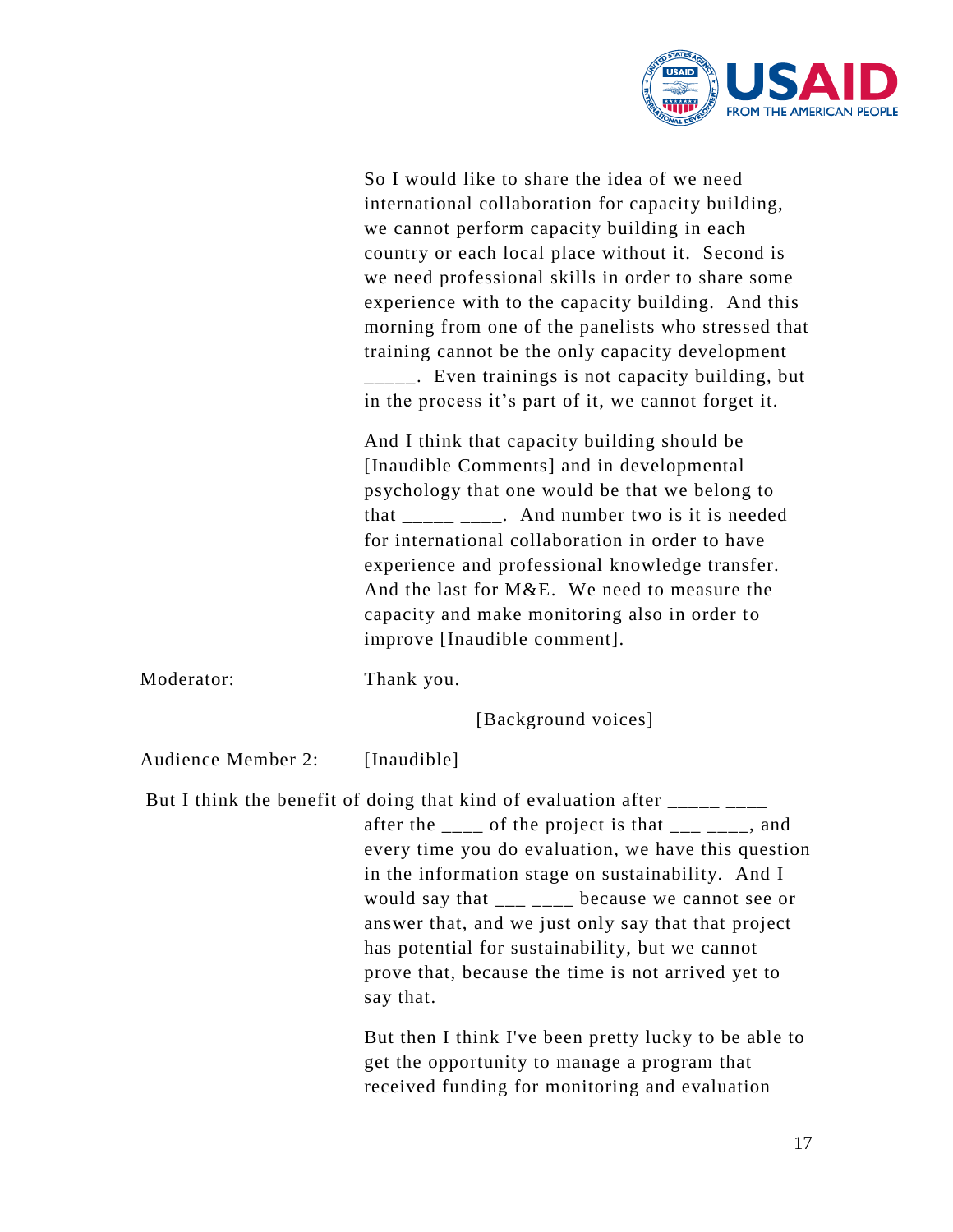

So I would like to share the idea of we need international collaboration for capacity building, we cannot perform capacity building in each country or each local place without it. Second is we need professional skills in order to share some experience with to the capacity building. And this morning from one of the panelists who stressed that training cannot be the only capacity development \_\_\_\_\_. Even trainings is not capacity building, but in the process it's part of it, we cannot forget it.

And I think that capacity building should be [Inaudible Comments] and in developmental psychology that one would be that we belong to that \_\_\_\_\_ \_\_\_\_. And number two is it is needed for international collaboration in order to have experience and professional knowledge transfer. And the last for M&E. We need to measure the capacity and make monitoring also in order to improve [Inaudible comment].

Moderator: Thank you.

[Background voices]

Audience Member 2: [Inaudible]

But I think the benefit of doing that kind of evaluation after  $\frac{1}{2}$ after the  $\frac{1}{\sqrt{2}}$  of the project is that  $\frac{1}{\sqrt{2}}$  =  $\frac{1}{\sqrt{2}}$ , and every time you do evaluation, we have this question in the information stage on sustainability. And I would say that \_\_\_ \_\_\_\_ because we cannot see or answer that, and we just only say that that project has potential for sustainability, but we cannot prove that, because the time is not arrived yet to say that.

> But then I think I've been pretty lucky to be able to get the opportunity to manage a program that received funding for monitoring and evaluation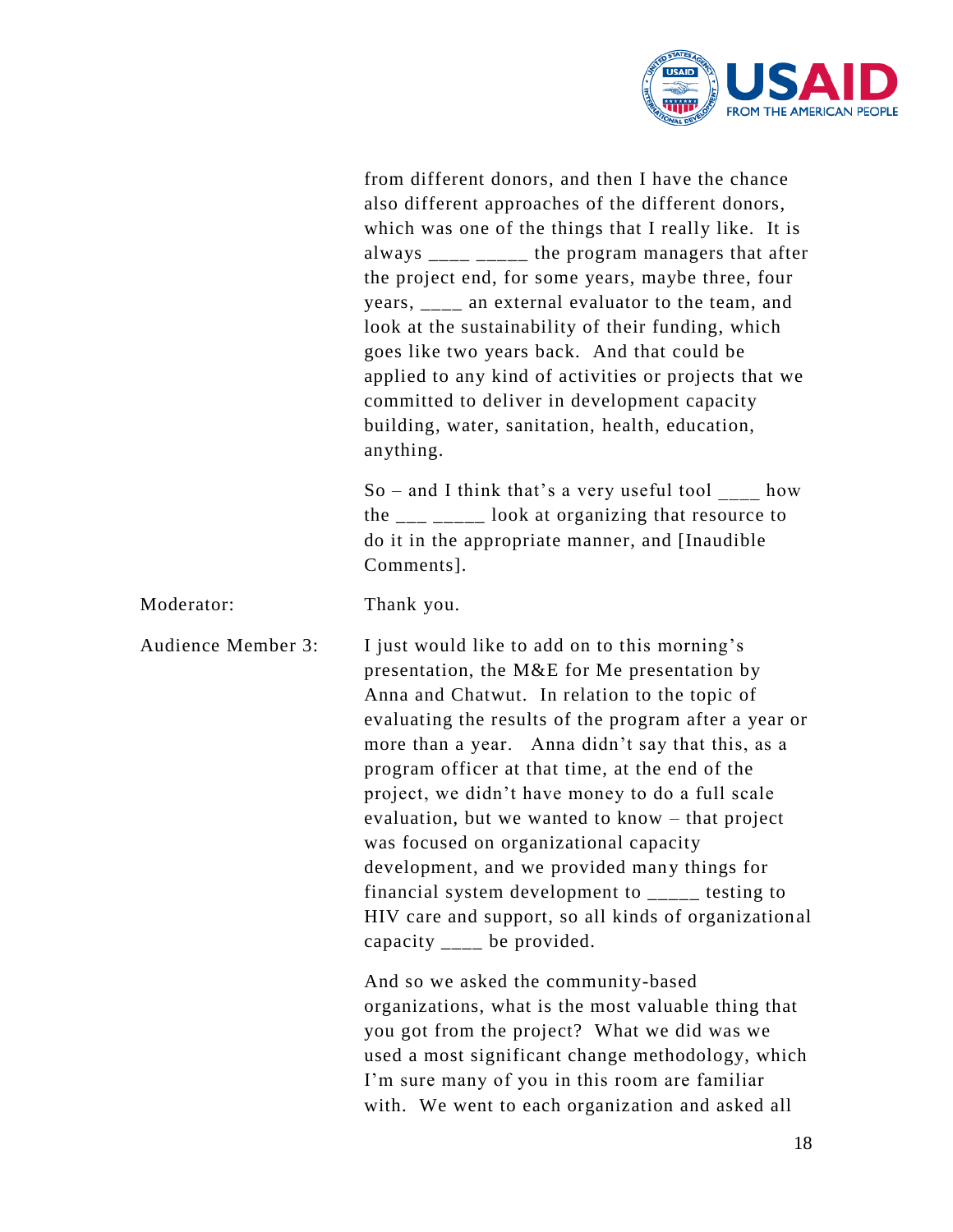

| from different donors, and then I have the chance                                |  |  |
|----------------------------------------------------------------------------------|--|--|
| also different approaches of the different donors,                               |  |  |
| which was one of the things that I really like. It is                            |  |  |
| always $\frac{1}{2}$ $\frac{1}{2}$ $\frac{1}{2}$ the program managers that after |  |  |
| the project end, for some years, maybe three, four                               |  |  |
| years, ____ an external evaluator to the team, and                               |  |  |
| look at the sustainability of their funding, which                               |  |  |
| goes like two years back. And that could be                                      |  |  |
| applied to any kind of activities or projects that we                            |  |  |
| committed to deliver in development capacity                                     |  |  |
| building, water, sanitation, health, education,                                  |  |  |
| anything.                                                                        |  |  |

 $So - and I think that's a very useful tool$  how the  $\frac{1}{2}$   $\frac{1}{2}$  =  $\frac{1}{2}$  look at organizing that resource to do it in the appropriate manner, and [Inaudible Comments].

Moderator: Thank you.

Audience Member 3: I just would like to add on to this morning's presentation, the M&E for Me presentation by Anna and Chatwut. In relation to the topic of evaluating the results of the program after a year or more than a year. Anna didn't say that this, as a program officer at that time, at the end of the project, we didn't have money to do a full scale evaluation, but we wanted to know – that project was focused on organizational capacity development, and we provided many things for financial system development to \_\_\_\_\_ testing to HIV care and support, so all kinds of organizational capacity \_\_\_\_ be provided.

> And so we asked the community-based organizations, what is the most valuable thing that you got from the project? What we did was we used a most significant change methodology, which I'm sure many of you in this room are familiar with. We went to each organization and asked all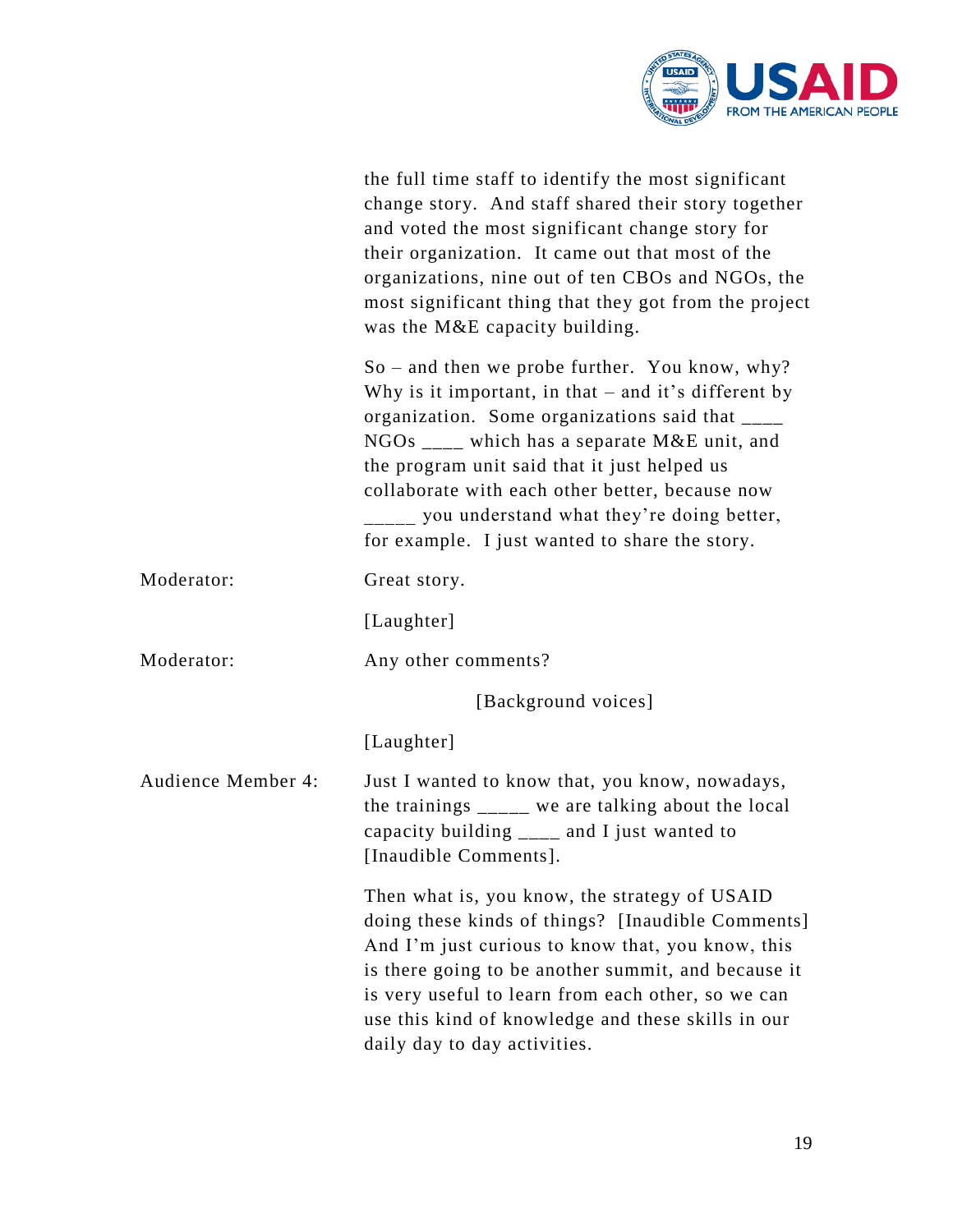

|                    | the full time staff to identify the most significant<br>change story. And staff shared their story together<br>and voted the most significant change story for<br>their organization. It came out that most of the<br>organizations, nine out of ten CBOs and NGOs, the<br>most significant thing that they got from the project<br>was the M&E capacity building.                                                       |
|--------------------|--------------------------------------------------------------------------------------------------------------------------------------------------------------------------------------------------------------------------------------------------------------------------------------------------------------------------------------------------------------------------------------------------------------------------|
|                    | $So$ – and then we probe further. You know, why?<br>Why is it important, in that $-$ and it's different by<br>organization. Some organizations said that ____<br>NGOs $\frac{1}{2}$ which has a separate M&E unit, and<br>the program unit said that it just helped us<br>collaborate with each other better, because now<br>you understand what they're doing better,<br>for example. I just wanted to share the story. |
| Moderator:         | Great story.                                                                                                                                                                                                                                                                                                                                                                                                             |
|                    | [Laughter]                                                                                                                                                                                                                                                                                                                                                                                                               |
| Moderator:         | Any other comments?                                                                                                                                                                                                                                                                                                                                                                                                      |
|                    | [Background voices]                                                                                                                                                                                                                                                                                                                                                                                                      |
|                    | [Laughter]                                                                                                                                                                                                                                                                                                                                                                                                               |
| Audience Member 4: | Just I wanted to know that, you know, nowadays,<br>the trainings _____ we are talking about the local<br>capacity building ____ and I just wanted to<br>[Inaudible Comments].                                                                                                                                                                                                                                            |
|                    | Then what is, you know, the strategy of USAID<br>doing these kinds of things? [Inaudible Comments]<br>And I'm just curious to know that, you know, this<br>is there going to be another summit, and because it<br>is very useful to learn from each other, so we can<br>use this kind of knowledge and these skills in our<br>daily day to day activities.                                                               |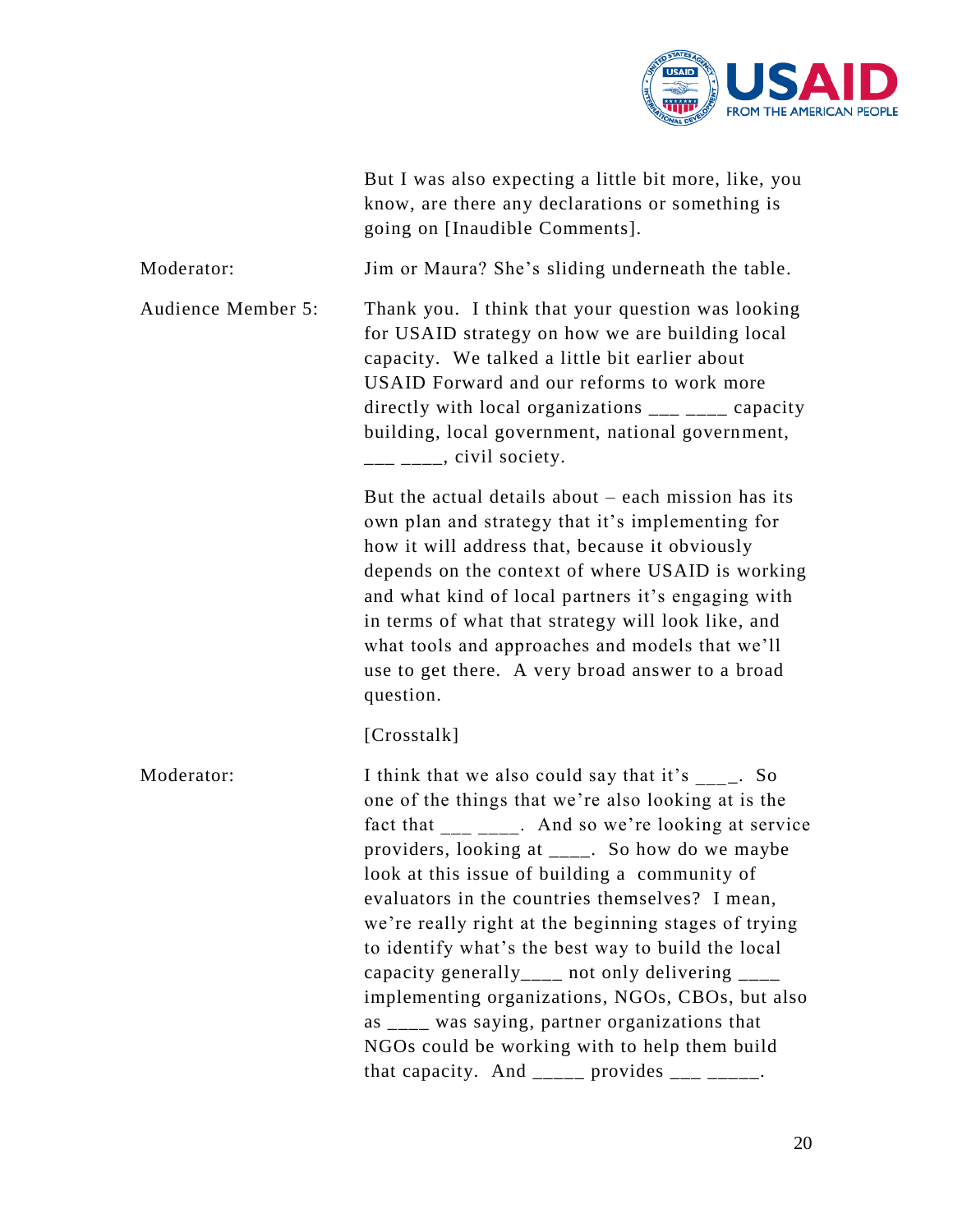

| But I was also expecting a little bit more, like, you |
|-------------------------------------------------------|
| know, are there any declarations or something is      |
| going on [Inaudible Comments].                        |

Moderator: Jim or Maura? She's sliding underneath the table.

Audience Member 5: Thank you. I think that your question was looking for USAID strategy on how we are building local capacity. We talked a little bit earlier about USAID Forward and our reforms to work more directly with local organizations  $\frac{1}{\sqrt{2}}$  =  $\frac{1}{\sqrt{2}}$  capacity building, local government, national government,  $\frac{1}{\sqrt{2}}$  \_\_\_\_\_, civil society.

> But the actual details about – each mission has its own plan and strategy that it's implementing for how it will address that, because it obviously depends on the context of where USAID is working and what kind of local partners it's engaging with in terms of what that strategy will look like, and what tools and approaches and models that we'll use to get there. A very broad answer to a broad question.

#### [Crosstalk]

Moderator: I think that we also could say that it's \_\_\_\_. So one of the things that we're also looking at is the fact that fact that contained a And so we're looking at service providers, looking at \_\_\_\_. So how do we maybe look at this issue of building a community of evaluators in the countries themselves? I mean, we're really right at the beginning stages of trying to identify what's the best way to build the local capacity generally\_\_\_\_ not only delivering \_\_\_\_ implementing organizations, NGOs, CBOs, but also as \_\_\_\_ was saying, partner organizations that NGOs could be working with to help them build that capacity. And  $\frac{1}{\sqrt{1-\frac{1}{n}}}$  provides  $\frac{1}{\sqrt{1-\frac{1}{n}}}$ .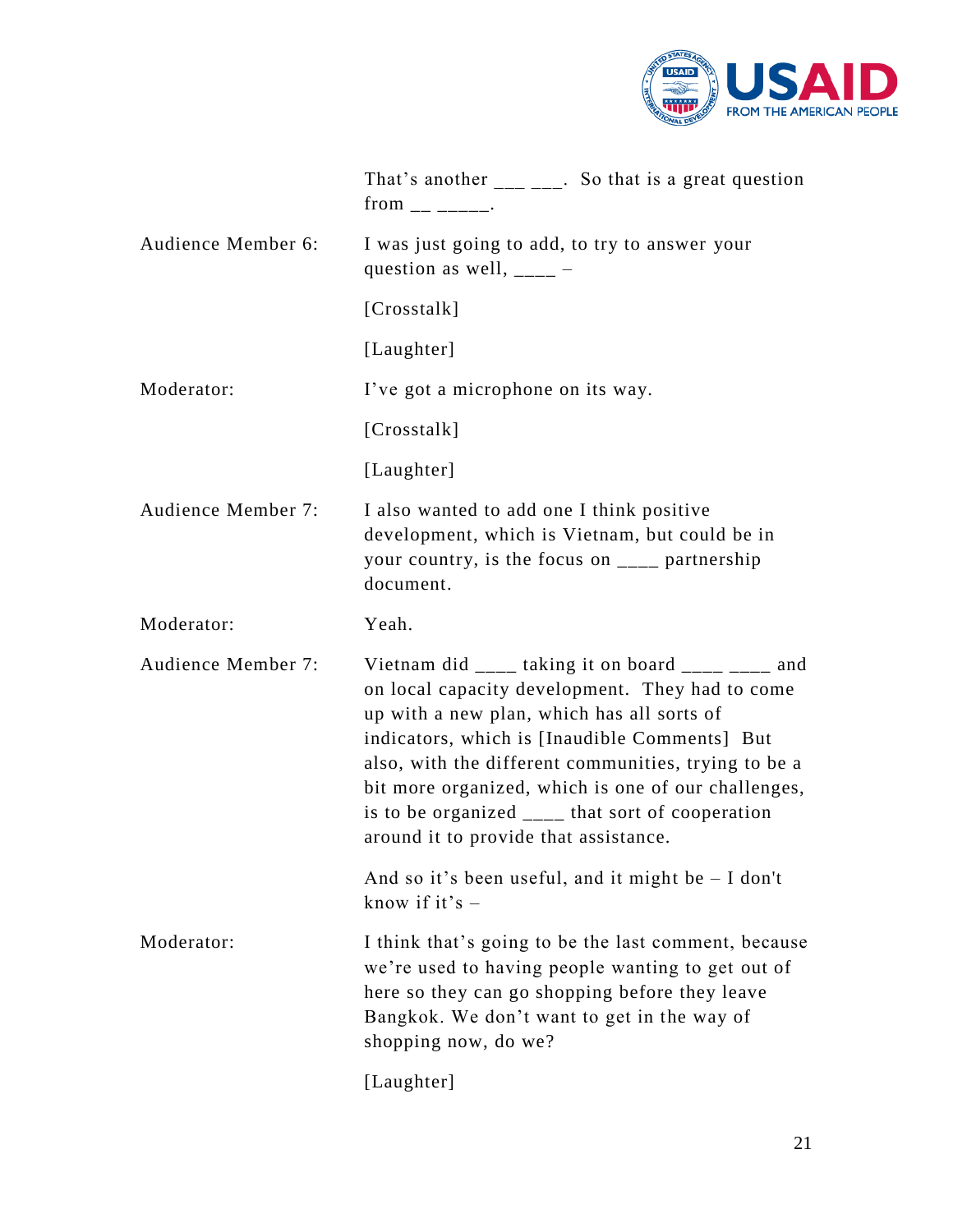

|                    | That's another $\frac{1}{\sqrt{1-\frac{1}{n}}}$ . So that is a great question<br>from .                                                                                                                                                                                                                                                                                                                                                                                  |
|--------------------|--------------------------------------------------------------------------------------------------------------------------------------------------------------------------------------------------------------------------------------------------------------------------------------------------------------------------------------------------------------------------------------------------------------------------------------------------------------------------|
| Audience Member 6: | I was just going to add, to try to answer your<br>question as well, $\frac{1}{2}$ –                                                                                                                                                                                                                                                                                                                                                                                      |
|                    | [Crosstalk]                                                                                                                                                                                                                                                                                                                                                                                                                                                              |
|                    | [Laughter]                                                                                                                                                                                                                                                                                                                                                                                                                                                               |
| Moderator:         | I've got a microphone on its way.                                                                                                                                                                                                                                                                                                                                                                                                                                        |
|                    | [Crosstalk]                                                                                                                                                                                                                                                                                                                                                                                                                                                              |
|                    | [Laughter]                                                                                                                                                                                                                                                                                                                                                                                                                                                               |
| Audience Member 7: | I also wanted to add one I think positive<br>development, which is Vietnam, but could be in<br>your country, is the focus on $\frac{1}{\sqrt{2}}$ partnership<br>document.                                                                                                                                                                                                                                                                                               |
| Moderator:         | Yeah.                                                                                                                                                                                                                                                                                                                                                                                                                                                                    |
| Audience Member 7: | Vietnam did $\frac{1}{2}$ taking it on board $\frac{1}{2}$ = $\frac{1}{2}$ and<br>on local capacity development. They had to come<br>up with a new plan, which has all sorts of<br>indicators, which is [Inaudible Comments] But<br>also, with the different communities, trying to be a<br>bit more organized, which is one of our challenges,<br>is to be organized $\frac{1}{\sqrt{1-\frac{1}{n}}}$ that sort of cooperation<br>around it to provide that assistance. |
|                    | And so it's been useful, and it might be $- I$ don't<br>know if it's $-$                                                                                                                                                                                                                                                                                                                                                                                                 |
| Moderator:         | I think that's going to be the last comment, because<br>we're used to having people wanting to get out of<br>here so they can go shopping before they leave<br>Bangkok. We don't want to get in the way of<br>shopping now, do we?                                                                                                                                                                                                                                       |
|                    | [Laughter]                                                                                                                                                                                                                                                                                                                                                                                                                                                               |